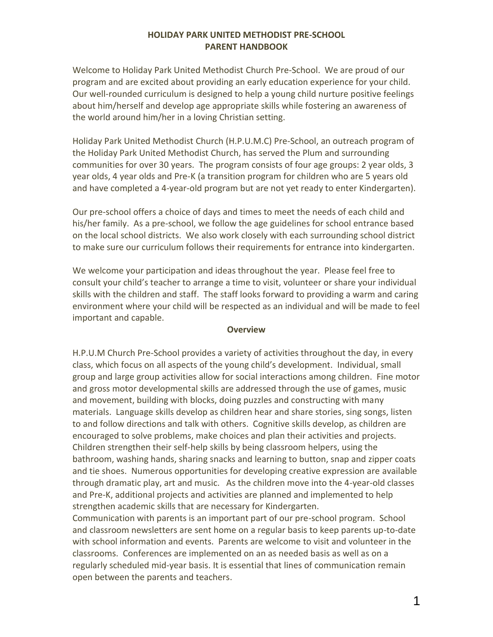### **HOLIDAY PARK UNITED METHODIST PRE-SCHOOL PARENT HANDBOOK**

Welcome to Holiday Park United Methodist Church Pre-School. We are proud of our program and are excited about providing an early education experience for your child. Our well-rounded curriculum is designed to help a young child nurture positive feelings about him/herself and develop age appropriate skills while fostering an awareness of the world around him/her in a loving Christian setting.

Holiday Park United Methodist Church (H.P.U.M.C) Pre-School, an outreach program of the Holiday Park United Methodist Church, has served the Plum and surrounding communities for over 30 years. The program consists of four age groups: 2 year olds, 3 year olds, 4 year olds and Pre-K (a transition program for children who are 5 years old and have completed a 4-year-old program but are not yet ready to enter Kindergarten).

Our pre-school offers a choice of days and times to meet the needs of each child and his/her family. As a pre-school, we follow the age guidelines for school entrance based on the local school districts. We also work closely with each surrounding school district to make sure our curriculum follows their requirements for entrance into kindergarten.

We welcome your participation and ideas throughout the year. Please feel free to consult your child's teacher to arrange a time to visit, volunteer or share your individual skills with the children and staff. The staff looks forward to providing a warm and caring environment where your child will be respected as an individual and will be made to feel important and capable.

#### **Overview**

H.P.U.M Church Pre-School provides a variety of activities throughout the day, in every class, which focus on all aspects of the young child's development. Individual, small group and large group activities allow for social interactions among children. Fine motor and gross motor developmental skills are addressed through the use of games, music and movement, building with blocks, doing puzzles and constructing with many materials. Language skills develop as children hear and share stories, sing songs, listen to and follow directions and talk with others. Cognitive skills develop, as children are encouraged to solve problems, make choices and plan their activities and projects. Children strengthen their self-help skills by being classroom helpers, using the bathroom, washing hands, sharing snacks and learning to button, snap and zipper coats and tie shoes. Numerous opportunities for developing creative expression are available through dramatic play, art and music. As the children move into the 4-year-old classes and Pre-K, additional projects and activities are planned and implemented to help strengthen academic skills that are necessary for Kindergarten.

Communication with parents is an important part of our pre-school program. School and classroom newsletters are sent home on a regular basis to keep parents up-to-date with school information and events. Parents are welcome to visit and volunteer in the classrooms. Conferences are implemented on an as needed basis as well as on a regularly scheduled mid-year basis. It is essential that lines of communication remain open between the parents and teachers.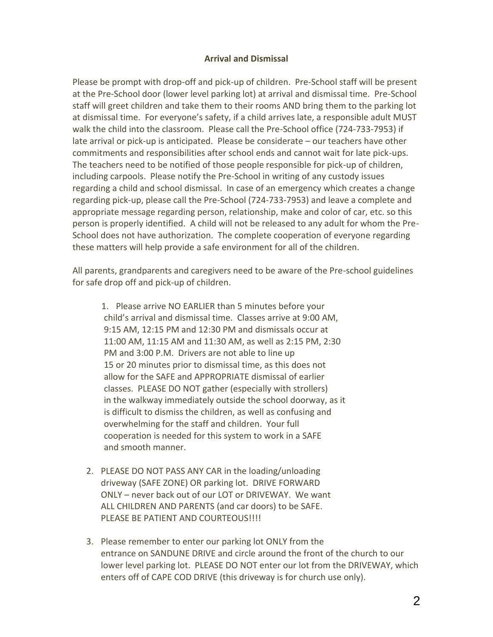#### **Arrival and Dismissal**

Please be prompt with drop-off and pick-up of children. Pre-School staff will be present at the Pre-School door (lower level parking lot) at arrival and dismissal time. Pre-School staff will greet children and take them to their rooms AND bring them to the parking lot at dismissal time. For everyone's safety, if a child arrives late, a responsible adult MUST walk the child into the classroom. Please call the Pre-School office (724-733-7953) if late arrival or pick-up is anticipated. Please be considerate – our teachers have other commitments and responsibilities after school ends and cannot wait for late pick-ups. The teachers need to be notified of those people responsible for pick-up of children, including carpools. Please notify the Pre-School in writing of any custody issues regarding a child and school dismissal. In case of an emergency which creates a change regarding pick-up, please call the Pre-School (724-733-7953) and leave a complete and appropriate message regarding person, relationship, make and color of car, etc. so this person is properly identified. A child will not be released to any adult for whom the Pre-School does not have authorization. The complete cooperation of everyone regarding these matters will help provide a safe environment for all of the children.

All parents, grandparents and caregivers need to be aware of the Pre-school guidelines for safe drop off and pick-up of children.

1. Please arrive NO EARLIER than 5 minutes before your child's arrival and dismissal time. Classes arrive at 9:00 AM, 9:15 AM, 12:15 PM and 12:30 PM and dismissals occur at 11:00 AM, 11:15 AM and 11:30 AM, as well as 2:15 PM, 2:30 PM and 3:00 P.M. Drivers are not able to line up 15 or 20 minutes prior to dismissal time, as this does not allow for the SAFE and APPROPRIATE dismissal of earlier classes. PLEASE DO NOT gather (especially with strollers) in the walkway immediately outside the school doorway, as it is difficult to dismiss the children, as well as confusing and overwhelming for the staff and children. Your full cooperation is needed for this system to work in a SAFE and smooth manner.

- 2. PLEASE DO NOT PASS ANY CAR in the loading/unloading driveway (SAFE ZONE) OR parking lot. DRIVE FORWARD ONLY – never back out of our LOT or DRIVEWAY. We want ALL CHILDREN AND PARENTS (and car doors) to be SAFE. PLEASE BE PATIENT AND COURTEOUS!!!!
- 3. Please remember to enter our parking lot ONLY from the entrance on SANDUNE DRIVE and circle around the front of the church to our lower level parking lot. PLEASE DO NOT enter our lot from the DRIVEWAY, which enters off of CAPE COD DRIVE (this driveway is for church use only).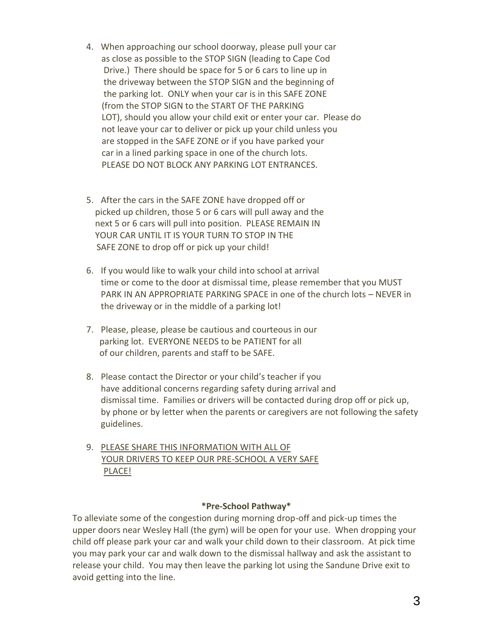- 4. When approaching our school doorway, please pull your car as close as possible to the STOP SIGN (leading to Cape Cod Drive.) There should be space for 5 or 6 cars to line up in the driveway between the STOP SIGN and the beginning of the parking lot. ONLY when your car is in this SAFE ZONE (from the STOP SIGN to the START OF THE PARKING LOT), should you allow your child exit or enter your car. Please do not leave your car to deliver or pick up your child unless you are stopped in the SAFE ZONE or if you have parked your car in a lined parking space in one of the church lots. PLEASE DO NOT BLOCK ANY PARKING LOT ENTRANCES.
- 5. After the cars in the SAFE ZONE have dropped off or picked up children, those 5 or 6 cars will pull away and the next 5 or 6 cars will pull into position. PLEASE REMAIN IN YOUR CAR UNTIL IT IS YOUR TURN TO STOP IN THE SAFE ZONE to drop off or pick up your child!
- 6. If you would like to walk your child into school at arrival time or come to the door at dismissal time, please remember that you MUST PARK IN AN APPROPRIATE PARKING SPACE in one of the church lots – NEVER in the driveway or in the middle of a parking lot!
- 7. Please, please, please be cautious and courteous in our parking lot. EVERYONE NEEDS to be PATIENT for all of our children, parents and staff to be SAFE.
- 8. Please contact the Director or your child's teacher if you have additional concerns regarding safety during arrival and dismissal time. Families or drivers will be contacted during drop off or pick up, by phone or by letter when the parents or caregivers are not following the safety guidelines.
- 9. PLEASE SHARE THIS INFORMATION WITH ALL OF YOUR DRIVERS TO KEEP OUR PRE-SCHOOL A VERY SAFE PLACE!

#### **\*Pre-School Pathway\***

To alleviate some of the congestion during morning drop-off and pick-up times the upper doors near Wesley Hall (the gym) will be open for your use. When dropping your child off please park your car and walk your child down to their classroom. At pick time you may park your car and walk down to the dismissal hallway and ask the assistant to release your child. You may then leave the parking lot using the Sandune Drive exit to avoid getting into the line.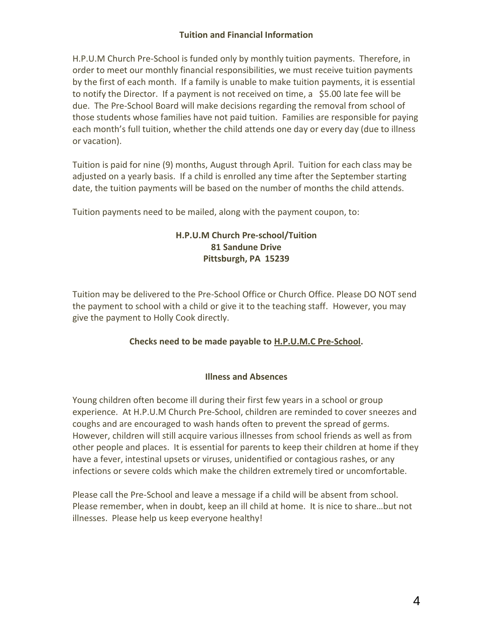# **Tuition and Financial Information**

H.P.U.M Church Pre-School is funded only by monthly tuition payments. Therefore, in order to meet our monthly financial responsibilities, we must receive tuition payments by the first of each month. If a family is unable to make tuition payments, it is essential to notify the Director. If a payment is not received on time,  $a \leq 5.00$  late fee will be due. The Pre-School Board will make decisions regarding the removal from school of those students whose families have not paid tuition. Families are responsible for paying each month's full tuition, whether the child attends one day or every day (due to illness or vacation).

Tuition is paid for nine (9) months, August through April. Tuition for each class may be adjusted on a yearly basis. If a child is enrolled any time after the September starting date, the tuition payments will be based on the number of months the child attends.

Tuition payments need to be mailed, along with the payment coupon, to:

# **H.P.U.M Church Pre-school/Tuition 81 Sandune Drive Pittsburgh, PA 15239**

Tuition may be delivered to the Pre-School Office or Church Office. Please DO NOT send the payment to school with a child or give it to the teaching staff. However, you may give the payment to Holly Cook directly.

# **Checks need to be made payable to H.P.U.M.C Pre-School.**

# **Illness and Absences**

Young children often become ill during their first few years in a school or group experience. At H.P.U.M Church Pre-School, children are reminded to cover sneezes and coughs and are encouraged to wash hands often to prevent the spread of germs. However, children will still acquire various illnesses from school friends as well as from other people and places. It is essential for parents to keep their children at home if they have a fever, intestinal upsets or viruses, unidentified or contagious rashes, or any infections or severe colds which make the children extremely tired or uncomfortable.

Please call the Pre-School and leave a message if a child will be absent from school. Please remember, when in doubt, keep an ill child at home. It is nice to share…but not illnesses. Please help us keep everyone healthy!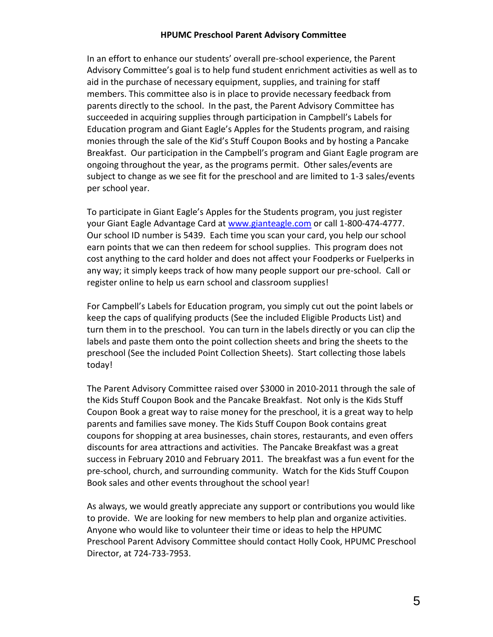#### **HPUMC Preschool Parent Advisory Committee**

In an effort to enhance our students' overall pre-school experience, the Parent Advisory Committee's goal is to help fund student enrichment activities as well as to aid in the purchase of necessary equipment, supplies, and training for staff members. This committee also is in place to provide necessary feedback from parents directly to the school. In the past, the Parent Advisory Committee has succeeded in acquiring supplies through participation in Campbell's Labels for Education program and Giant Eagle's Apples for the Students program, and raising monies through the sale of the Kid's Stuff Coupon Books and by hosting a Pancake Breakfast. Our participation in the Campbell's program and Giant Eagle program are ongoing throughout the year, as the programs permit. Other sales/events are subject to change as we see fit for the preschool and are limited to 1-3 sales/events per school year.

To participate in Giant Eagle's Apples for the Students program, you just register your Giant Eagle Advantage Card at [www.gianteagle.com](http://www.gianteagle.com/) or call 1-800-474-4777. Our school ID number is 5439. Each time you scan your card, you help our school earn points that we can then redeem for school supplies. This program does not cost anything to the card holder and does not affect your Foodperks or Fuelperks in any way; it simply keeps track of how many people support our pre-school. Call or register online to help us earn school and classroom supplies!

For Campbell's Labels for Education program, you simply cut out the point labels or keep the caps of qualifying products (See the included Eligible Products List) and turn them in to the preschool. You can turn in the labels directly or you can clip the labels and paste them onto the point collection sheets and bring the sheets to the preschool (See the included Point Collection Sheets). Start collecting those labels today!

The Parent Advisory Committee raised over \$3000 in 2010-2011 through the sale of the Kids Stuff Coupon Book and the Pancake Breakfast. Not only is the Kids Stuff Coupon Book a great way to raise money for the preschool, it is a great way to help parents and families save money. The Kids Stuff Coupon Book contains great coupons for shopping at area businesses, chain stores, restaurants, and even offers discounts for area attractions and activities. The Pancake Breakfast was a great success in February 2010 and February 2011. The breakfast was a fun event for the pre-school, church, and surrounding community. Watch for the Kids Stuff Coupon Book sales and other events throughout the school year!

As always, we would greatly appreciate any support or contributions you would like to provide. We are looking for new members to help plan and organize activities. Anyone who would like to volunteer their time or ideas to help the HPUMC Preschool Parent Advisory Committee should contact Holly Cook, HPUMC Preschool Director, at 724-733-7953.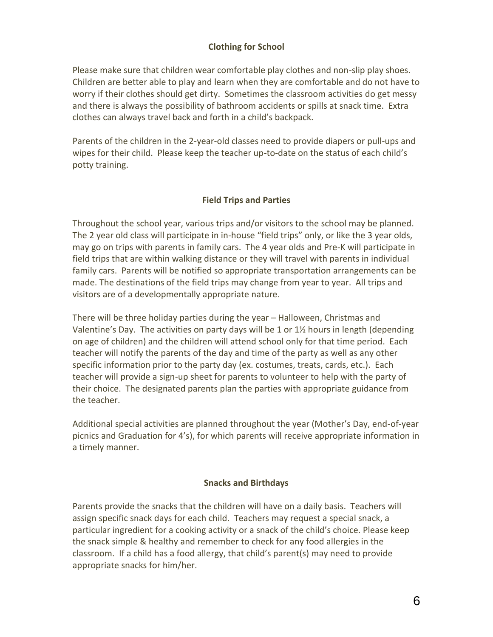# **Clothing for School**

Please make sure that children wear comfortable play clothes and non-slip play shoes. Children are better able to play and learn when they are comfortable and do not have to worry if their clothes should get dirty. Sometimes the classroom activities do get messy and there is always the possibility of bathroom accidents or spills at snack time. Extra clothes can always travel back and forth in a child's backpack.

Parents of the children in the 2-year-old classes need to provide diapers or pull-ups and wipes for their child. Please keep the teacher up-to-date on the status of each child's potty training.

# **Field Trips and Parties**

Throughout the school year, various trips and/or visitors to the school may be planned. The 2 year old class will participate in in-house "field trips" only, or like the 3 year olds, may go on trips with parents in family cars. The 4 year olds and Pre-K will participate in field trips that are within walking distance or they will travel with parents in individual family cars. Parents will be notified so appropriate transportation arrangements can be made. The destinations of the field trips may change from year to year. All trips and visitors are of a developmentally appropriate nature.

There will be three holiday parties during the year – Halloween, Christmas and Valentine's Day. The activities on party days will be 1 or 1½ hours in length (depending on age of children) and the children will attend school only for that time period. Each teacher will notify the parents of the day and time of the party as well as any other specific information prior to the party day (ex. costumes, treats, cards, etc.). Each teacher will provide a sign-up sheet for parents to volunteer to help with the party of their choice. The designated parents plan the parties with appropriate guidance from the teacher.

Additional special activities are planned throughout the year (Mother's Day, end-of-year picnics and Graduation for 4's), for which parents will receive appropriate information in a timely manner.

#### **Snacks and Birthdays**

Parents provide the snacks that the children will have on a daily basis. Teachers will assign specific snack days for each child. Teachers may request a special snack, a particular ingredient for a cooking activity or a snack of the child's choice. Please keep the snack simple & healthy and remember to check for any food allergies in the classroom. If a child has a food allergy, that child's parent(s) may need to provide appropriate snacks for him/her.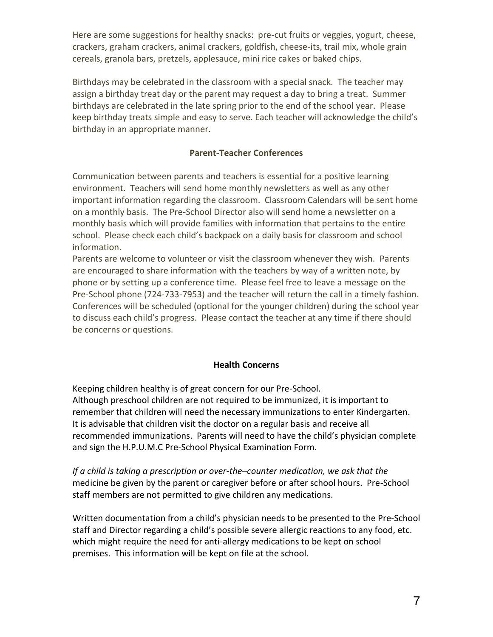Here are some suggestions for healthy snacks: pre-cut fruits or veggies, yogurt, cheese, crackers, graham crackers, animal crackers, goldfish, cheese-its, trail mix, whole grain cereals, granola bars, pretzels, applesauce, mini rice cakes or baked chips.

Birthdays may be celebrated in the classroom with a special snack. The teacher may assign a birthday treat day or the parent may request a day to bring a treat. Summer birthdays are celebrated in the late spring prior to the end of the school year. Please keep birthday treats simple and easy to serve. Each teacher will acknowledge the child's birthday in an appropriate manner.

### **Parent-Teacher Conferences**

Communication between parents and teachers is essential for a positive learning environment. Teachers will send home monthly newsletters as well as any other important information regarding the classroom. Classroom Calendars will be sent home on a monthly basis. The Pre-School Director also will send home a newsletter on a monthly basis which will provide families with information that pertains to the entire school. Please check each child's backpack on a daily basis for classroom and school information.

Parents are welcome to volunteer or visit the classroom whenever they wish. Parents are encouraged to share information with the teachers by way of a written note, by phone or by setting up a conference time. Please feel free to leave a message on the Pre-School phone (724-733-7953) and the teacher will return the call in a timely fashion. Conferences will be scheduled (optional for the younger children) during the school year to discuss each child's progress. Please contact the teacher at any time if there should be concerns or questions.

#### **Health Concerns**

Keeping children healthy is of great concern for our Pre-School. Although preschool children are not required to be immunized, it is important to remember that children will need the necessary immunizations to enter Kindergarten. It is advisable that children visit the doctor on a regular basis and receive all recommended immunizations. Parents will need to have the child's physician complete and sign the H.P.U.M.C Pre-School Physical Examination Form.

*If a child is taking a prescription or over-the–counter medication, we ask that the* medicine be given by the parent or caregiver before or after school hours. Pre-School staff members are not permitted to give children any medications.

Written documentation from a child's physician needs to be presented to the Pre-School staff and Director regarding a child's possible severe allergic reactions to any food, etc. which might require the need for anti-allergy medications to be kept on school premises. This information will be kept on file at the school.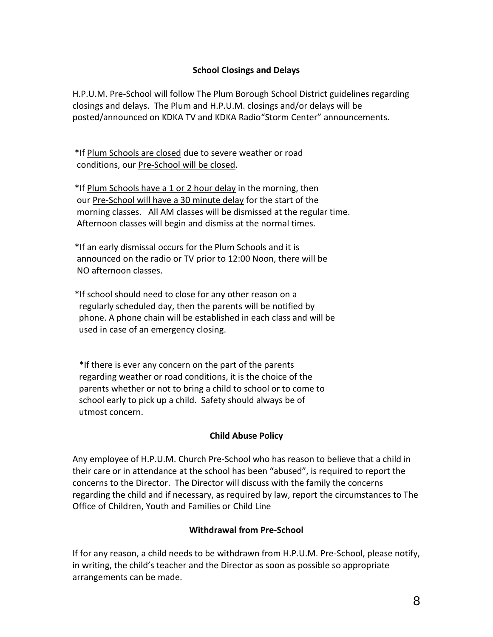# **School Closings and Delays**

H.P.U.M. Pre-School will follow The Plum Borough School District guidelines regarding closings and delays. The Plum and H.P.U.M. closings and/or delays will be posted/announced on KDKA TV and KDKA Radio"Storm Center" announcements.

\*If Plum Schools are closed due to severe weather or road conditions, our Pre-School will be closed.

\*If Plum Schools have a 1 or 2 hour delay in the morning, then our Pre-School will have a 30 minute delay for the start of the morning classes. All AM classes will be dismissed at the regular time. Afternoon classes will begin and dismiss at the normal times.

\*If an early dismissal occurs for the Plum Schools and it is announced on the radio or TV prior to 12:00 Noon, there will be NO afternoon classes.

\*If school should need to close for any other reason on a regularly scheduled day, then the parents will be notified by phone. A phone chain will be established in each class and will be used in case of an emergency closing.

 \*If there is ever any concern on the part of the parents regarding weather or road conditions, it is the choice of the parents whether or not to bring a child to school or to come to school early to pick up a child. Safety should always be of utmost concern.

#### **Child Abuse Policy**

Any employee of H.P.U.M. Church Pre-School who has reason to believe that a child in their care or in attendance at the school has been "abused", is required to report the concerns to the Director. The Director will discuss with the family the concerns regarding the child and if necessary, as required by law, report the circumstances to The Office of Children, Youth and Families or Child Line

# **Withdrawal from Pre-School**

If for any reason, a child needs to be withdrawn from H.P.U.M. Pre-School, please notify, in writing, the child's teacher and the Director as soon as possible so appropriate arrangements can be made.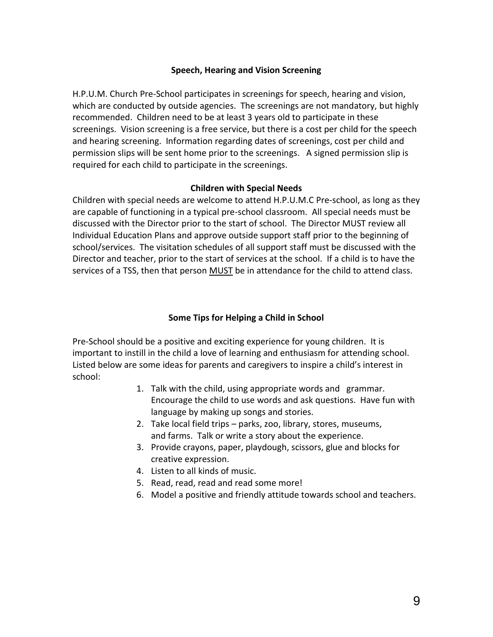#### **Speech, Hearing and Vision Screening**

H.P.U.M. Church Pre-School participates in screenings for speech, hearing and vision, which are conducted by outside agencies. The screenings are not mandatory, but highly recommended. Children need to be at least 3 years old to participate in these screenings. Vision screening is a free service, but there is a cost per child for the speech and hearing screening. Information regarding dates of screenings, cost per child and permission slips will be sent home prior to the screenings. A signed permission slip is required for each child to participate in the screenings.

#### **Children with Special Needs**

Children with special needs are welcome to attend H.P.U.M.C Pre-school, as long as they are capable of functioning in a typical pre-school classroom. All special needs must be discussed with the Director prior to the start of school. The Director MUST review all Individual Education Plans and approve outside support staff prior to the beginning of school/services. The visitation schedules of all support staff must be discussed with the Director and teacher, prior to the start of services at the school. If a child is to have the services of a TSS, then that person MUST be in attendance for the child to attend class.

### **Some Tips for Helping a Child in School**

Pre-School should be a positive and exciting experience for young children. It is important to instill in the child a love of learning and enthusiasm for attending school. Listed below are some ideas for parents and caregivers to inspire a child's interest in school:

- 1. Talk with the child, using appropriate words and grammar. Encourage the child to use words and ask questions. Have fun with language by making up songs and stories.
- 2. Take local field trips parks, zoo, library, stores, museums, and farms. Talk or write a story about the experience.
- 3. Provide crayons, paper, playdough, scissors, glue and blocks for creative expression.
- 4. Listen to all kinds of music.
- 5. Read, read, read and read some more!
- 6. Model a positive and friendly attitude towards school and teachers.